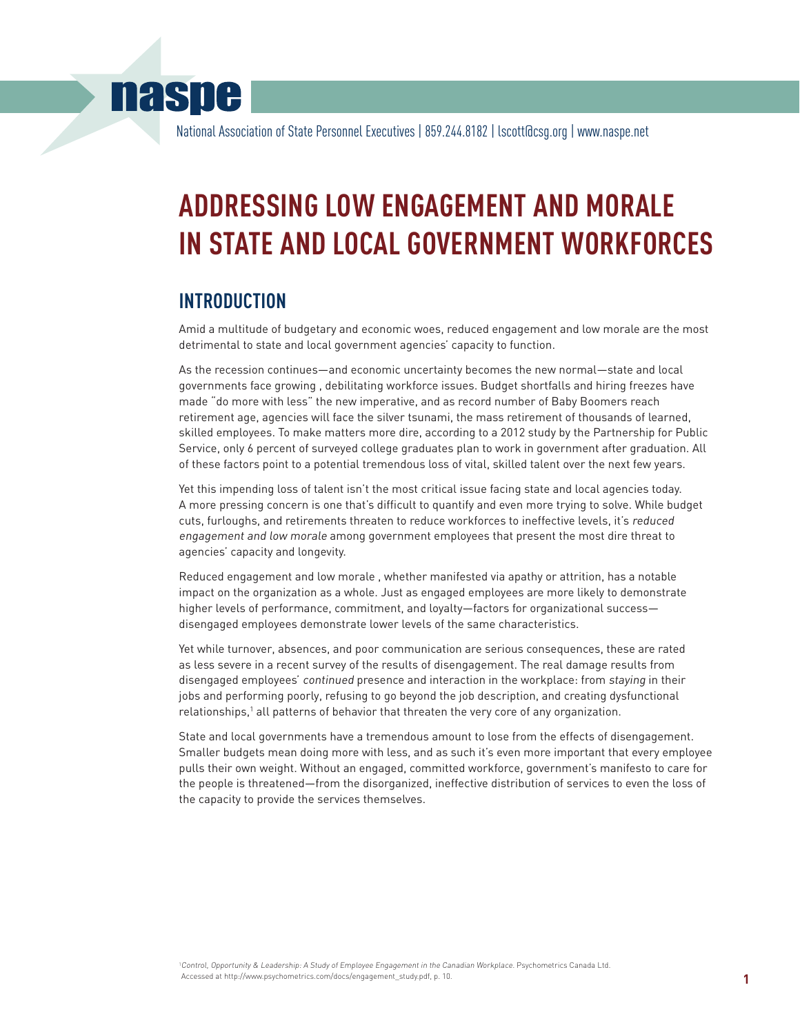# **naspe**

National Association of State Personnel Executives | 859.244.8182 | lscott@csg.org | www.naspe.net

# **Addressing Low Engagement and Morale in State and Local Government Workforces**

# **introduction**

Amid a multitude of budgetary and economic woes, reduced engagement and low morale are the most detrimental to state and local government agencies' capacity to function.

As the recession continues—and economic uncertainty becomes the new normal—state and local governments face growing , debilitating workforce issues. Budget shortfalls and hiring freezes have made "do more with less" the new imperative, and as record number of Baby Boomers reach retirement age, agencies will face the silver tsunami, the mass retirement of thousands of learned, skilled employees. To make matters more dire, according to a 2012 study by the Partnership for Public Service, only 6 percent of surveyed college graduates plan to work in government after graduation. All of these factors point to a potential tremendous loss of vital, skilled talent over the next few years.

Yet this impending loss of talent isn't the most critical issue facing state and local agencies today. A more pressing concern is one that's difficult to quantify and even more trying to solve. While budget cuts, furloughs, and retirements threaten to reduce workforces to ineffective levels, it's reduced engagement and low morale among government employees that present the most dire threat to agencies' capacity and longevity.

Reduced engagement and low morale , whether manifested via apathy or attrition, has a notable impact on the organization as a whole. Just as engaged employees are more likely to demonstrate higher levels of performance, commitment, and loyalty—factors for organizational success disengaged employees demonstrate lower levels of the same characteristics.

Yet while turnover, absences, and poor communication are serious consequences, these are rated as less severe in a recent survey of the results of disengagement. The real damage results from disengaged employees' continued presence and interaction in the workplace: from staying in their jobs and performing poorly, refusing to go beyond the job description, and creating dysfunctional relationships,<sup>1</sup> all patterns of behavior that threaten the very core of any organization.

State and local governments have a tremendous amount to lose from the effects of disengagement. Smaller budgets mean doing more with less, and as such it's even more important that every employee pulls their own weight. Without an engaged, committed workforce, government's manifesto to care for the people is threatened—from the disorganized, ineffective distribution of services to even the loss of the capacity to provide the services themselves.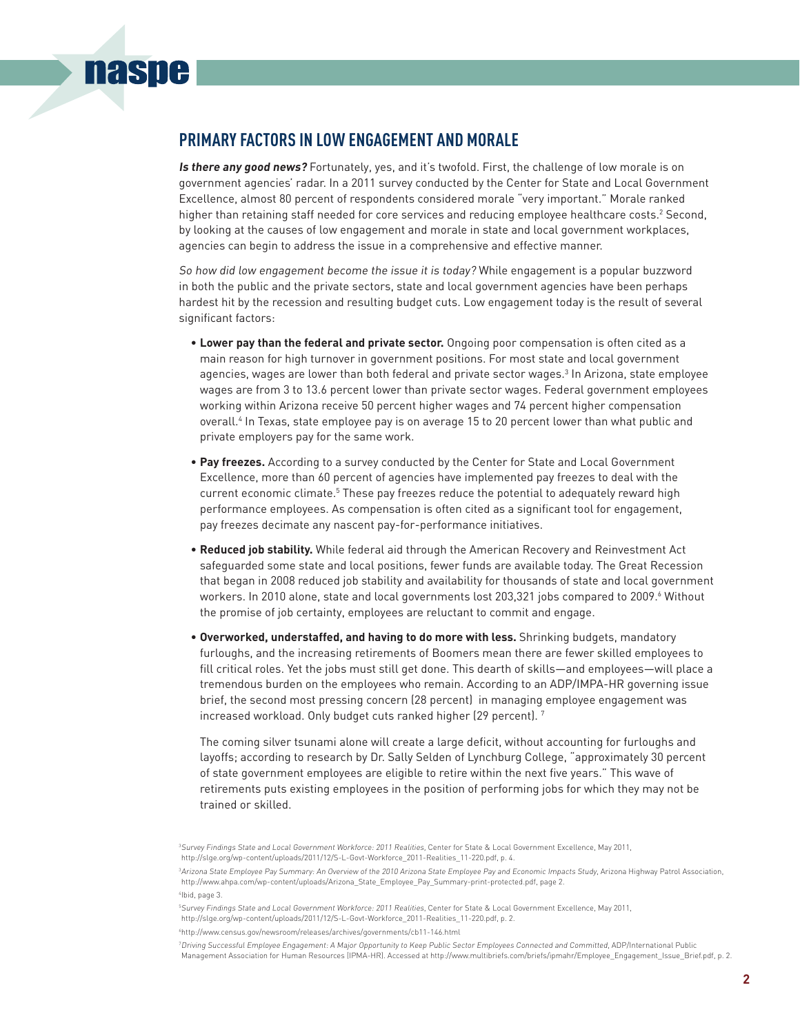## **Primary Factors in Low Engagement and Morale**

**naspe** 

**Is there any good news?** Fortunately, yes, and it's twofold. First, the challenge of low morale is on government agencies' radar. In a 2011 survey conducted by the Center for State and Local Government Excellence, almost 80 percent of respondents considered morale "very important." Morale ranked higher than retaining staff needed for core services and reducing employee healthcare costs.<sup>2</sup> Second, by looking at the causes of low engagement and morale in state and local government workplaces, agencies can begin to address the issue in a comprehensive and effective manner.

So how did low engagement become the issue it is today? While engagement is a popular buzzword in both the public and the private sectors, state and local government agencies have been perhaps hardest hit by the recession and resulting budget cuts. Low engagement today is the result of several significant factors:

- **Lower pay than the federal and private sector.** Ongoing poor compensation is often cited as a main reason for high turnover in government positions. For most state and local government agencies, wages are lower than both federal and private sector wages.<sup>3</sup> In Arizona, state employee wages are from 3 to 13.6 percent lower than private sector wages. Federal government employees working within Arizona receive 50 percent higher wages and 74 percent higher compensation overall.4 In Texas, state employee pay is on average 15 to 20 percent lower than what public and private employers pay for the same work.
- **Pay freezes.** According to a survey conducted by the Center for State and Local Government Excellence, more than 60 percent of agencies have implemented pay freezes to deal with the current economic climate.<sup>5</sup> These pay freezes reduce the potential to adequately reward high performance employees. As compensation is often cited as a significant tool for engagement, pay freezes decimate any nascent pay-for-performance initiatives.
- **Reduced job stability.** While federal aid through the American Recovery and Reinvestment Act safeguarded some state and local positions, fewer funds are available today. The Great Recession that began in 2008 reduced job stability and availability for thousands of state and local government workers. In 2010 alone, state and local governments lost 203,321 jobs compared to 2009.6 Without the promise of job certainty, employees are reluctant to commit and engage.
- **Overworked, understaffed, and having to do more with less.** Shrinking budgets, mandatory furloughs, and the increasing retirements of Boomers mean there are fewer skilled employees to fill critical roles. Yet the jobs must still get done. This dearth of skills—and employees—will place a tremendous burden on the employees who remain. According to an ADP/IMPA-HR governing issue brief, the second most pressing concern (28 percent) in managing employee engagement was increased workload. Only budget cuts ranked higher (29 percent).  $^7$

The coming silver tsunami alone will create a large deficit, without accounting for furloughs and layoffs; according to research by Dr. Sally Selden of Lynchburg College, "approximately 30 percent of state government employees are eligible to retire within the next five years." This wave of retirements puts existing employees in the position of performing jobs for which they may not be trained or skilled.

<sup>3</sup> Survey Findings State and Local Government Workforce: <sup>2011</sup> Realities, Center for State & Local Government Excellence, May 2011, http://slge.org/wp-content/uploads/2011/12/S-L-Govt-Workforce\_2011-Realities\_11-220.pdf, p. 4.

<sup>3</sup> Arizona State Employee Pay Summary: An Overview of the <sup>2010</sup> Arizona State Employee Pay and Economic Impacts Study, Arizona Highway Patrol Association, http://www.ahpa.com/wp-content/uploads/Arizona\_State\_Employee\_Pay\_Summary-print-protected.pdf, page 2.

<sup>4</sup> Ibid, page 3.

<sup>5</sup> Survey Findings State and Local Government Workforce: <sup>2011</sup> Realities, Center for State & Local Government Excellence, May 2011,

http://slge.org/wp-content/uploads/2011/12/S-L-Govt-Workforce\_2011-Realities\_11-220.pdf, p. 2.

<sup>6</sup> http://www.census.gov/newsroom/releases/archives/governments/cb11-146.html

<sup>7</sup>Driving Successful Employee Engagement: <sup>A</sup> Major Opportunity to Keep Public Sector Employees Connected and Committed, ADP/International Public Management Association for Human Resources (IPMA-HR). Accessed at http://www.multibriefs.com/briefs/ipmahr/Employee\_Engagement\_Issue\_Brief.pdf, p. 2.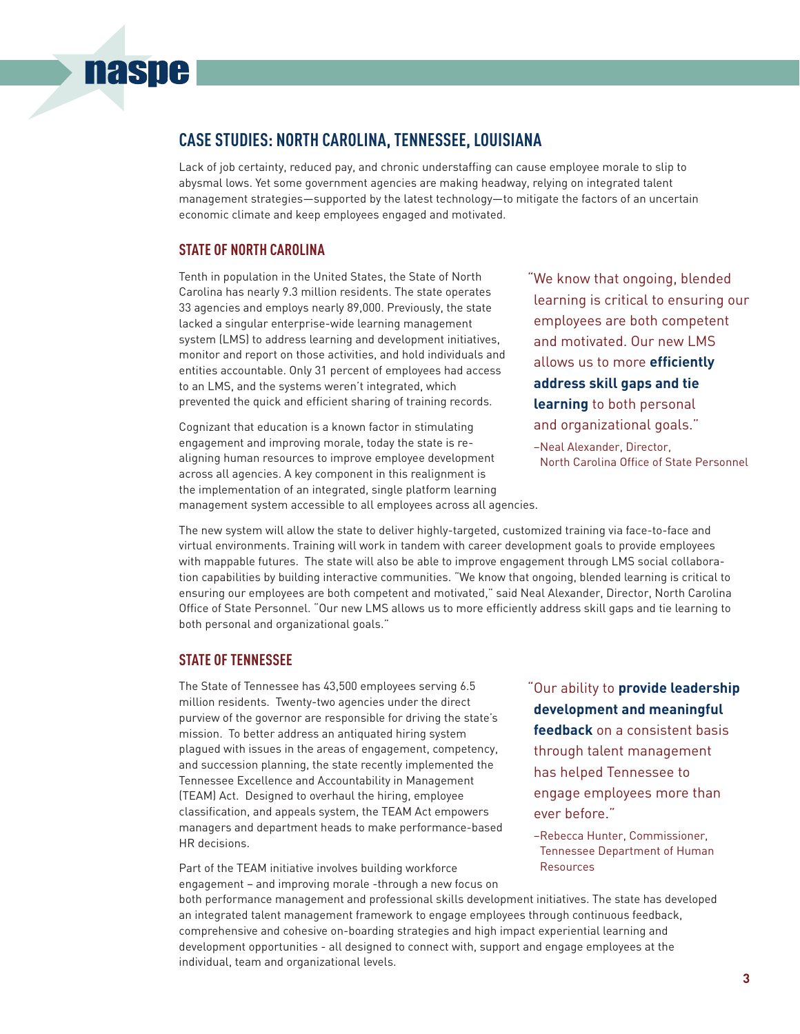# **Case Studies: North Carolina, Tennessee, Louisiana**

Lack of job certainty, reduced pay, and chronic understaffing can cause employee morale to slip to abysmal lows. Yet some government agencies are making headway, relying on integrated talent management strategies—supported by the latest technology—to mitigate the factors of an uncertain economic climate and keep employees engaged and motivated.

#### **state of North Carolina**

**naspe** 

Tenth in population in the United States, the State of North Carolina has nearly 9.3 million residents. The state operates 33 agencies and employs nearly 89,000. Previously, the state lacked a singular enterprise-wide learning management system (LMS) to address learning and development initiatives, monitor and report on those activities, and hold individuals and entities accountable. Only 31 percent of employees had access to an LMS, and the systems weren't integrated, which prevented the quick and efficient sharing of training records.

Cognizant that education is a known factor in stimulating engagement and improving morale, today the state is realigning human resources to improve employee development across all agencies. A key component in this realignment is the implementation of an integrated, single platform learning management system accessible to all employees across all agencies.

"We know that ongoing, blended learning is critical to ensuring our employees are both competent and motivated. Our new LMS allows us to more **efficiently address skill gaps and tie learning** to both personal and organizational goals."

–Neal Alexander, Director, North Carolina Office of State Personnel

The new system will allow the state to deliver highly-targeted, customized training via face-to-face and virtual environments. Training will work in tandem with career development goals to provide employees with mappable futures. The state will also be able to improve engagement through LMS social collaboration capabilities by building interactive communities. "We know that ongoing, blended learning is critical to ensuring our employees are both competent and motivated," said Neal Alexander, Director, North Carolina Office of State Personnel. "Our new LMS allows us to more efficiently address skill gaps and tie learning to both personal and organizational goals."

### **state of tennessee**

The State of Tennessee has 43,500 employees serving 6.5 million residents. Twenty-two agencies under the direct purview of the governor are responsible for driving the state's mission. To better address an antiquated hiring system plagued with issues in the areas of engagement, competency, and succession planning, the state recently implemented the Tennessee Excellence and Accountability in Management (TEAM) Act. Designed to overhaul the hiring, employee classification, and appeals system, the TEAM Act empowers managers and department heads to make performance-based HR decisions.

Part of the TEAM initiative involves building workforce engagement – and improving morale -through a new focus on "Our ability to **provide leadership development and meaningful feedback** on a consistent basis through talent management has helped Tennessee to engage employees more than ever before."

–Rebecca Hunter, Commissioner, Tennessee Department of Human Resources

both performance management and professional skills development initiatives. The state has developed an integrated talent management framework to engage employees through continuous feedback, comprehensive and cohesive on-boarding strategies and high impact experiential learning and development opportunities - all designed to connect with, support and engage employees at the individual, team and organizational levels.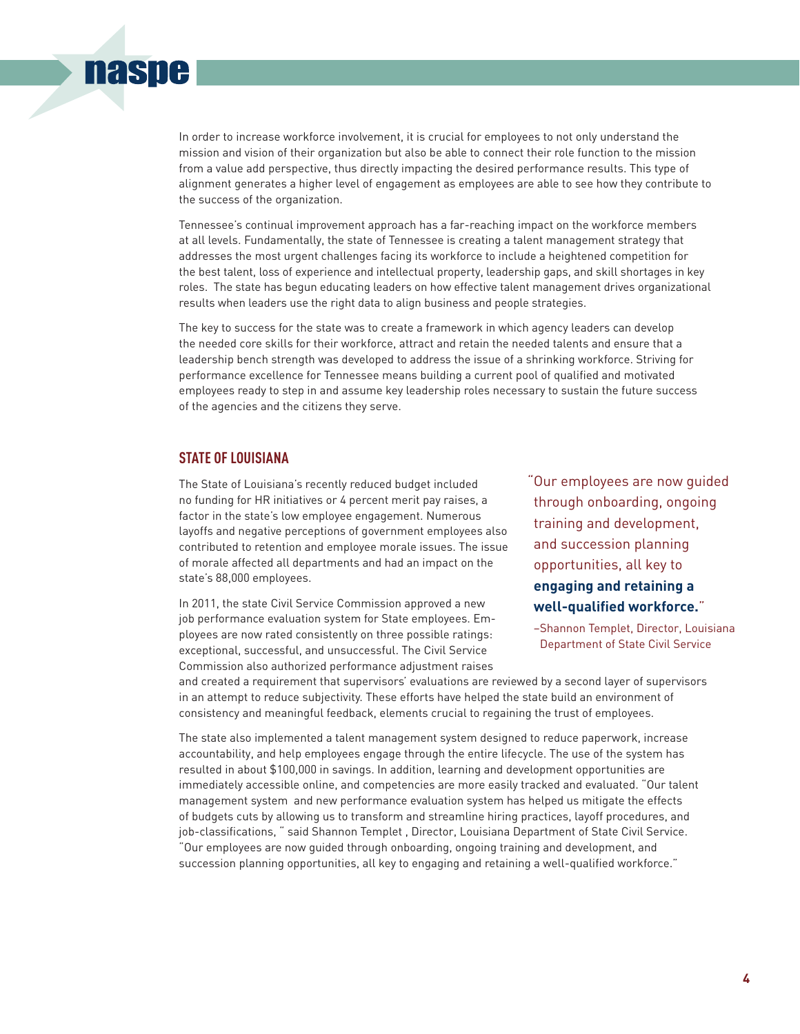

In order to increase workforce involvement, it is crucial for employees to not only understand the mission and vision of their organization but also be able to connect their role function to the mission from a value add perspective, thus directly impacting the desired performance results. This type of alignment generates a higher level of engagement as employees are able to see how they contribute to the success of the organization.

Tennessee's continual improvement approach has a far-reaching impact on the workforce members at all levels. Fundamentally, the state of Tennessee is creating a talent management strategy that addresses the most urgent challenges facing its workforce to include a heightened competition for the best talent, loss of experience and intellectual property, leadership gaps, and skill shortages in key roles. The state has begun educating leaders on how effective talent management drives organizational results when leaders use the right data to align business and people strategies.

The key to success for the state was to create a framework in which agency leaders can develop the needed core skills for their workforce, attract and retain the needed talents and ensure that a leadership bench strength was developed to address the issue of a shrinking workforce. Striving for performance excellence for Tennessee means building a current pool of qualified and motivated employees ready to step in and assume key leadership roles necessary to sustain the future success of the agencies and the citizens they serve.

#### **state of louisiana**

The State of Louisiana's recently reduced budget included no funding for HR initiatives or 4 percent merit pay raises, a factor in the state's low employee engagement. Numerous layoffs and negative perceptions of government employees also contributed to retention and employee morale issues. The issue of morale affected all departments and had an impact on the state's 88,000 employees.

In 2011, the state Civil Service Commission approved a new job performance evaluation system for State employees. Employees are now rated consistently on three possible ratings: exceptional, successful, and unsuccessful. The Civil Service Commission also authorized performance adjustment raises

"Our employees are now guided through onboarding, ongoing training and development, and succession planning opportunities, all key to **engaging and retaining a well-qualified workforce.**"

–Shannon Templet, Director, Louisiana Department of State Civil Service

and created a requirement that supervisors' evaluations are reviewed by a second layer of supervisors in an attempt to reduce subjectivity. These efforts have helped the state build an environment of consistency and meaningful feedback, elements crucial to regaining the trust of employees.

The state also implemented a talent management system designed to reduce paperwork, increase accountability, and help employees engage through the entire lifecycle. The use of the system has resulted in about \$100,000 in savings. In addition, learning and development opportunities are immediately accessible online, and competencies are more easily tracked and evaluated. "Our talent management system and new performance evaluation system has helped us mitigate the effects of budgets cuts by allowing us to transform and streamline hiring practices, layoff procedures, and job-classifications, " said Shannon Templet , Director, Louisiana Department of State Civil Service. "Our employees are now guided through onboarding, ongoing training and development, and succession planning opportunities, all key to engaging and retaining a well-qualified workforce."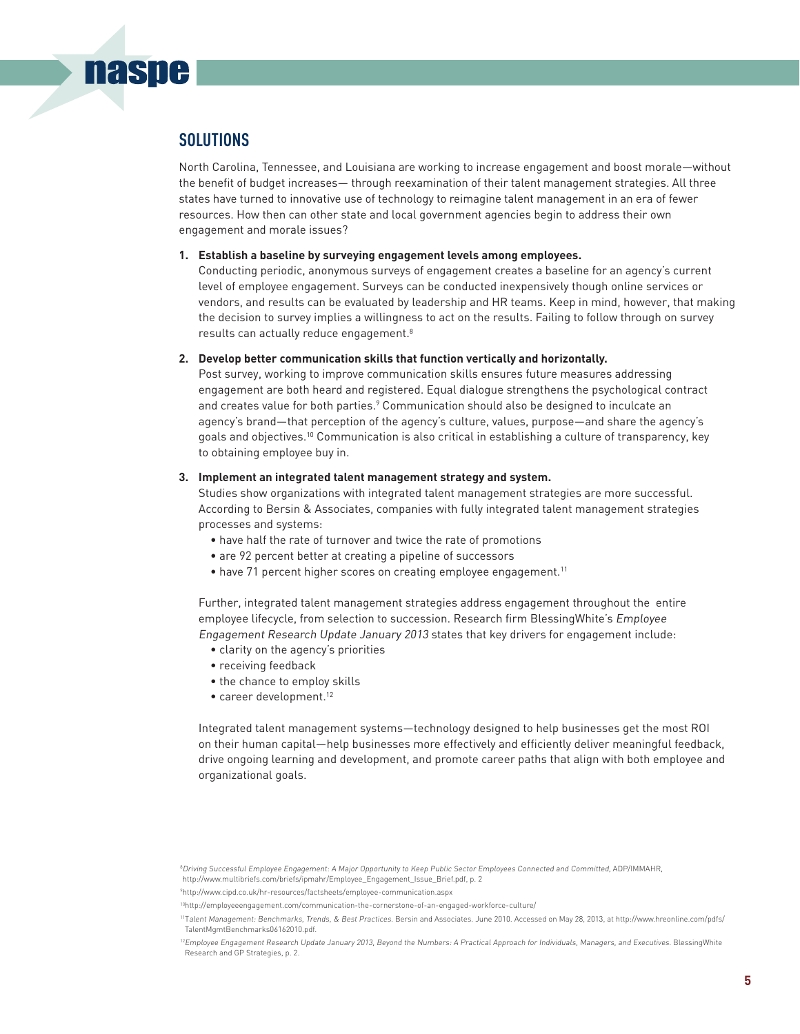## **solutions**

**naspe** 

North Carolina, Tennessee, and Louisiana are working to increase engagement and boost morale—without the benefit of budget increases— through reexamination of their talent management strategies. All three states have turned to innovative use of technology to reimagine talent management in an era of fewer resources. How then can other state and local government agencies begin to address their own engagement and morale issues?

#### **1. Establish a baseline by surveying engagement levels among employees.**

Conducting periodic, anonymous surveys of engagement creates a baseline for an agency's current level of employee engagement. Surveys can be conducted inexpensively though online services or vendors, and results can be evaluated by leadership and HR teams. Keep in mind, however, that making the decision to survey implies a willingness to act on the results. Failing to follow through on survey results can actually reduce engagement.8

#### **2. Develop better communication skills that function vertically and horizontally.**

Post survey, working to improve communication skills ensures future measures addressing engagement are both heard and registered. Equal dialogue strengthens the psychological contract and creates value for both parties.<sup>9</sup> Communication should also be designed to inculcate an agency's brand—that perception of the agency's culture, values, purpose—and share the agency's goals and objectives.10 Communication is also critical in establishing a culture of transparency, key to obtaining employee buy in.

#### **3. Implement an integrated talent management strategy and system.**

Studies show organizations with integrated talent management strategies are more successful. According to Bersin & Associates, companies with fully integrated talent management strategies processes and systems:

- have half the rate of turnover and twice the rate of promotions
- are 92 percent better at creating a pipeline of successors
- have 71 percent higher scores on creating employee engagement.<sup>11</sup>

Further, integrated talent management strategies address engagement throughout the entire employee lifecycle, from selection to succession. Research firm BlessingWhite's Employee Engagement Research Update January 2013 states that key drivers for engagement include:

- clarity on the agency's priorities
- receiving feedback
- the chance to employ skills
- career development.<sup>12</sup>

Integrated talent management systems—technology designed to help businesses get the most ROI on their human capital—help businesses more effectively and efficiently deliver meaningful feedback, drive ongoing learning and development, and promote career paths that align with both employee and organizational goals.

<sup>8</sup>Driving Successful Employee Engagement: <sup>A</sup> Major Opportunity to Keep Public Sector Employees Connected and Committed, ADP/IMMAHR, http://www.multibriefs.com/briefs/ipmahr/Employee\_Engagement\_Issue\_Brief.pdf, p. 2

<sup>9</sup> http://www.cipd.co.uk/hr-resources/factsheets/employee-communication.aspx

<sup>10</sup>http://employeeengagement.com/communication-the-cornerstone-of-an-engaged-workforce-culture/

<sup>11</sup>Talent Management: Benchmarks, Trends, & Best Practices. Bersin and Associates. June 2010. Accessed on May 28, 2013, at http://www.hreonline.com/pdfs/ TalentMgmtBenchmarks06162010.pdf.

 $^{12}$ Employee Engagement Research Update January 2013, Beyond the Numbers: A Practical Approach for Individuals, Managers, and Executives. BlessingWhite Research and GP Strategies, p. 2.